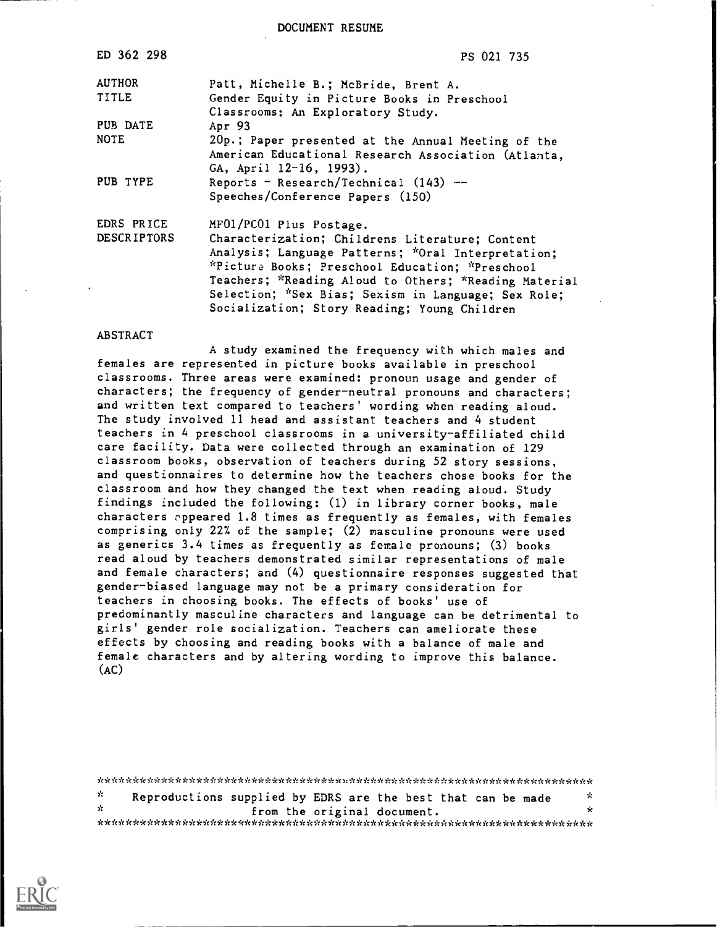DOCUMENT RESUME

| ED 362 298         | PS 021 735                                            |
|--------------------|-------------------------------------------------------|
| <b>AUTHOR</b>      | Patt, Michelle B.; McBride, Brent A.                  |
| <b>TITLE</b>       | Gender Equity in Picture Books in Preschool           |
|                    | Classrooms: An Exploratory Study.                     |
| PUB DATE           | Apr 93                                                |
| <b>NOTE</b>        | 20p.; Paper presented at the Annual Meeting of the    |
|                    | American Educational Research Association (Atlanta,   |
|                    | GA, April 12-16, 1993).                               |
| PUB TYPE           | Reports - Research/Technical $(143)$ --               |
|                    | Speeches/Conference Papers (150)                      |
| EDRS PRICE         | MF01/PC01 Plus Postage.                               |
| <b>DESCRIPTORS</b> | Characterization; Childrens Literature; Content       |
|                    | Analysis; Language Patterns; *Oral Interpretation;    |
|                    | *Picture Books; Preschool Education; *Preschool       |
|                    | Teachers; *Reading Aloud to Others; *Reading Material |
|                    | Selection; *Sex Bias; Sexism in Language; Sex Role;   |
|                    | Socialization; Story Reading; Young Children          |

#### ABSTRACT

A study examined the frequency with which males and females are represented in picture books available in preschool classrooms. Three areas were examined: pronoun usage and gender of characters; the frequency of gender-neutral pronouns and characters; and written text compared to teachers' wording when reading aloud. The study involved 11 head and assistant teachers and 4 student teachers in 4 preschool classrooms in a university-affiliated child care facility. Data were collected through an examination of 129 classroom books, observation of teachers during 52 story sessions, and questionnaires to determine how the teachers chose books for the classroom and how they changed the text when reading aloud. Study findings included the following: (1) in library corner books, male characters appeared 1.8 times as frequently as females, with females comprising only 22% of the sample; (2) masculine pronouns were used as generics 3.4 times as frequently as female pronouns; (3) books read aloud by teachers demonstrated similar representations of male and female characters; and (4) questionnaire responses suggested that gender-biased language may not be a primary consideration for teachers in choosing books. The effects of books' use of predominantly masculine characters and language can be detrimental to girls' gender role socialization. Teachers can ameliorate these effects by choosing and reading books with a balance of male and female characters and by altering wording to improve this balance.  $(AC)$ 

\* Reproductions supplied by EDRS are the best that can be made \* from the original document. \*\*\*\*\*\*\*\*\*\*\*\*\*\*\*\*\*\*\*\*\*\*\*\*\*\*\*\*\*\*\*\*\*\*\*\*\*\*\*\*\*\*\*\*\*\*\*\*\*\*\*\*\*\*\*\*\*\*\*\*\*\*\*\*\*\*\*\*\*\*\*

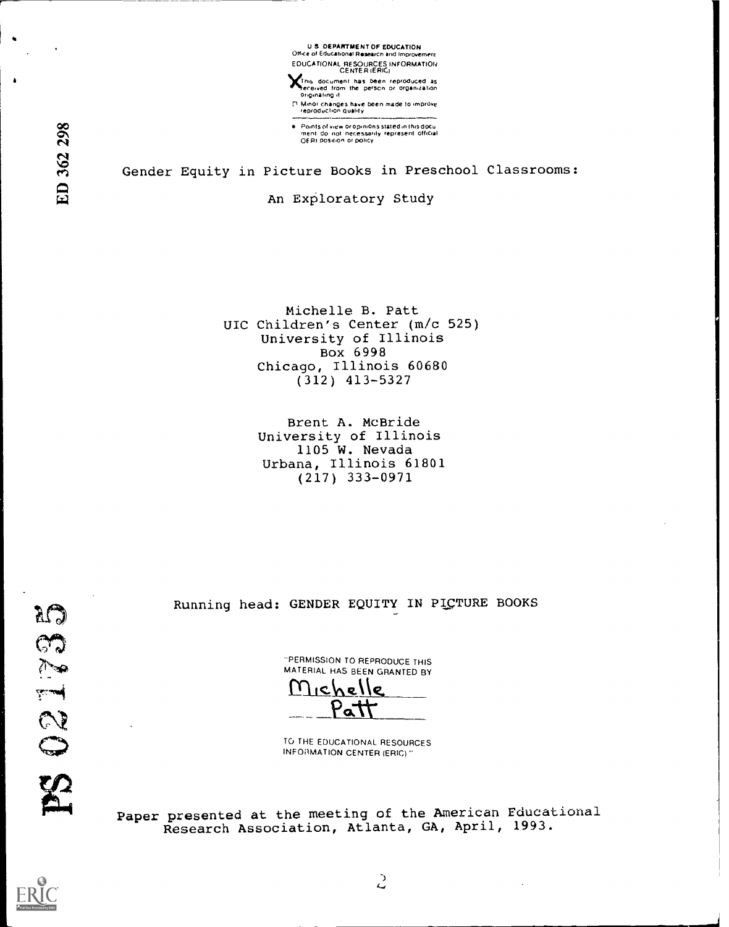

This document has been reproduced as<br>received from the person or organization<br>Originating.it

ri Minor changes have been made to imorowe reproductfon duahly

Points of view oropinions stated in this docu<br>ment: do: not: necessarily: represent: official<br>OERI position or policy

## Gender Equity in Picture Books in Preschool Classrooms:

An Exploratory Study

Michelle B. Patt UIC Children's Center (m/c 525) University of Illinois Box 6998 Chicago, Illinois 60680 (312) 413-5327

> Brent A. McBride University of Illinois 1105 W. Nevada Urbana, Illinois 61801 (217) 333-0971

Running head: GENDER EQUITY IN PICTURE BOOKS

'PERMISSION TO REPRODUCE THIS MATERIAL HAS BEEN GRANTED BY

ne I <u>Patt</u>

TO THE EDUCATIONAL RESOURCES INFORMATION CENTER (ERIC) "

Paper presented at the meeting of the American Educational Research Association, Atlanta, GA, April, 1993.



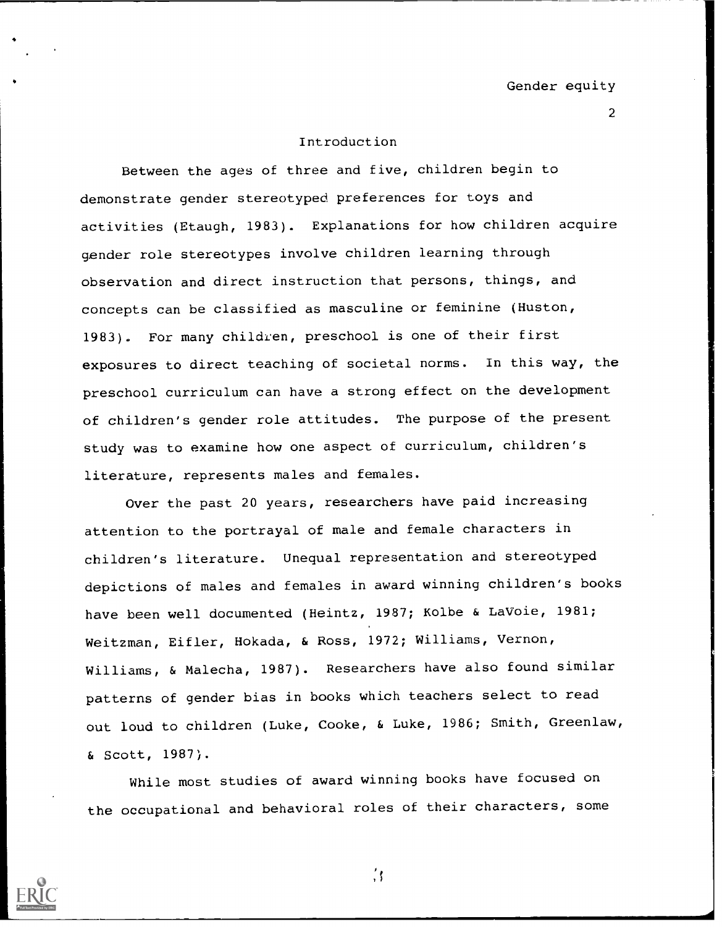## Introduction

Between the ages of three and five, children begin to demonstrate gender stereotyped preferences for toys and activities (Etaugh, 1983). Explanations for how children acquire gender role stereotypes involve children learning through observation and direct instruction that persons, things, and concepts can be classified as masculine or feminine (Huston, 1983). For many children, preschool is one of their first exposures to direct teaching of societal norms. In this way, the preschool curriculum can have a strong effect on the development of children's gender role attitudes. The purpose of the present study was to examine how one aspect of curriculum, children's literature, represents males and females.

Over the past 20 years, researchers have paid increasing attention to the portrayal of male and female characters in children's literature. Unequal representation and stereotyped depictions of males and females in award winning children's books have been well documented (Heintz, 1987; Kolbe & LaVoie, 1981; Weitzman, Eifler, Hokada, & Ross, 1972; Williams, Vernon, Williams, & Malecha, 1987). Researchers have also found similar patterns of gender bias in books which teachers select to read out loud to children (Luke, Cooke, & Luke, 1986; Smith, Greenlaw, & Scott, 1987).

While most studies of award winning books have focused on the occupational and behavioral roles of their characters, some



 $\frac{7}{2}$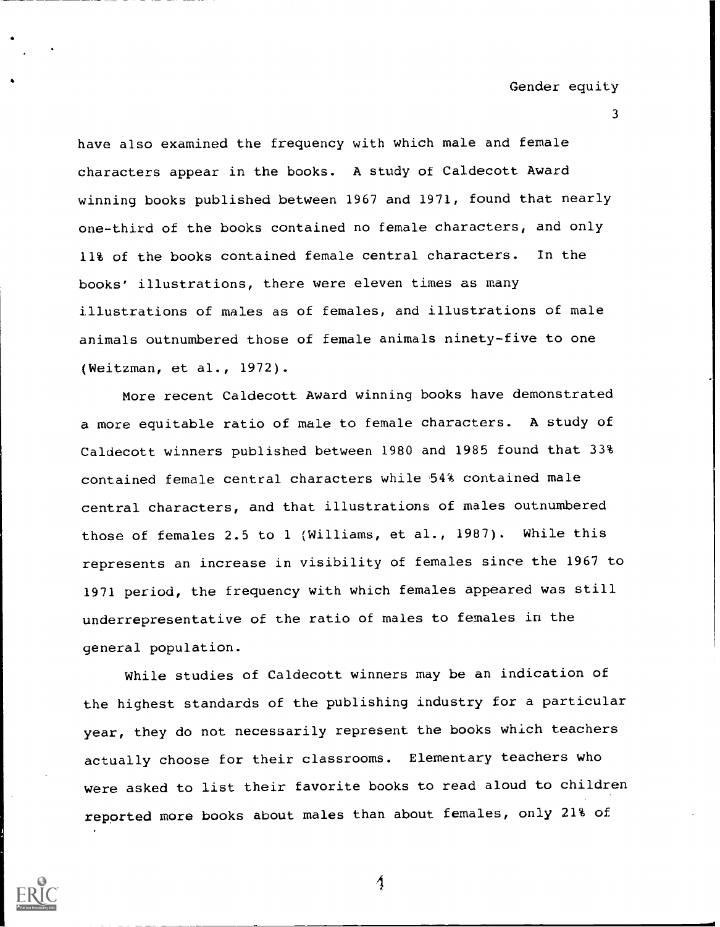3

have also examined the frequency with which male and female characters appear in the books. A study of Caldecott Award winning books published between 1967 and 1971, found that nearly one-third of the books contained no female characters, and only 11% of the books contained female central characters. In the books' illustrations, there were eleven times as many illustrations of males as of females, and illustrations of male animals outnumbered those of female animals ninety-five to one (Weitzman, et al., 1972).

More recent Caldecott Award winning books have demonstrated a more equitable ratio of male to female characters. A study of Caldecott winners published between 1980 and 1985 found that 33% contained female central characters while 54% contained male central characters, and that illustrations of males outnumbered those of females 2.5 to 1 (Williams, et al., 1987). While this represents an increase in visibility of females since the 1967 to 1971 period, the frequency with which females appeared was still underrepresentative of the ratio of males to females in the general population.

While studies of Caldecott winners may be an indication of the highest standards of the publishing industry for a particular year, they do not necessarily represent the books which teachers actually choose for their classrooms. Elementary teachers who were asked to list their favorite books to read aloud to children reported more books about males than about females, only 21% of

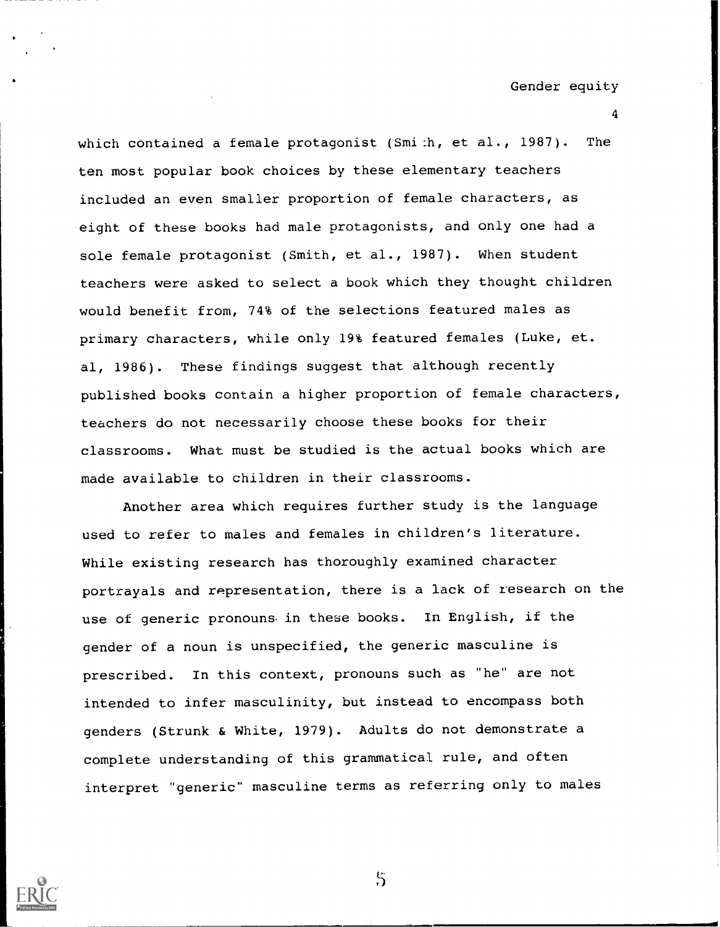4

which contained a female protagonist (Smi:h, et al., 1987). The ten most popular book choices by these elementary teachers included an even smaller proportion of female characters, as eight of these books had male protagonists, and only one had a sole female protagonist (Smith, et al., 1987). When student teachers were asked to select a book which they thought children would benefit from, 74% of the selections featured males as primary characters, while only 19% featured females (Luke, et. al, 1986). These findings suggest that although recently published books contain a higher proportion of female characters, teachers do not necessarily choose these books for their classrooms. What must be studied is the actual books which are made available to children in their classrooms.

Another area which requires further study is the language used to refer to males and females in children's literature. While existing research has thoroughly examined character portrayals and representation, there is a lack of research on the use of generic pronouns in these books. In English, if the gender of a noun is unspecified, the generic masculine is prescribed. In this context, pronouns such as "he" are not intended to infer masculinity, but instead to encompass both genders (Strunk & White, 1979). Adults do not demonstrate a complete understanding of this grammatical rule, and often interpret "generic" masculine terms as referring only to males

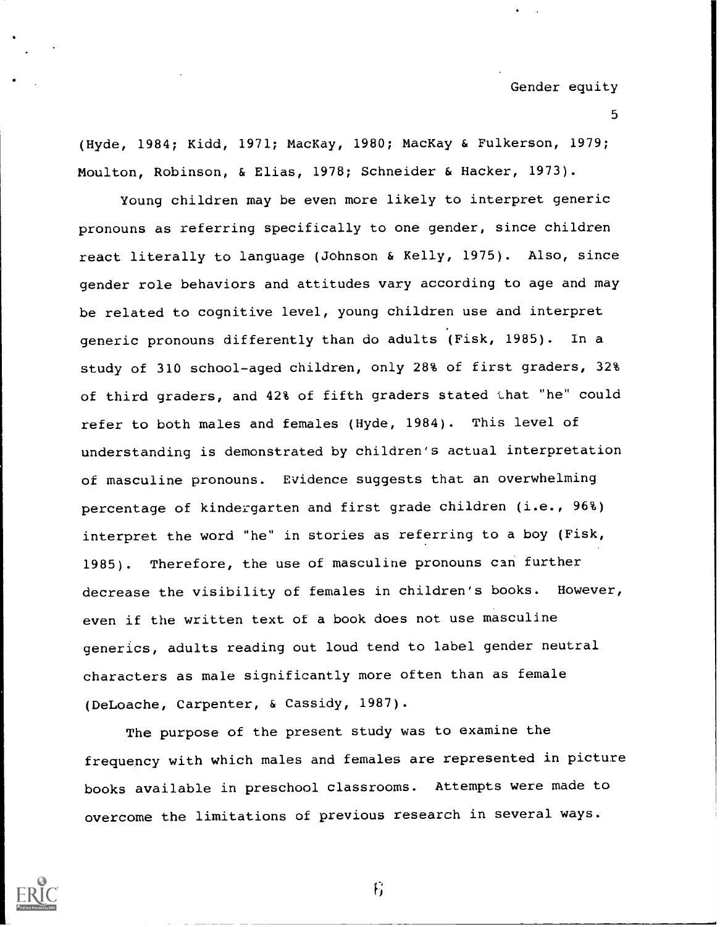(Hyde, 1984; Kidd, 1971; MacKay, 1980; MacKay & Fulkerson, 1979; Moulton, Robinson, & Elias, 1978; Schneider & Hacker, 1973).

Young children may be even more likely to interpret generic pronouns as referring specifically to one gender, since children react literally to language (Johnson & Kelly, 1975). Also, since gender role behaviors and attitudes vary according to age and may be related to cognitive level, young children use and interpret generic pronouns differently than do adults (Fisk, 1985). In a study of 310 school-aged children, only 28% of first graders, 32% of third graders, and 42% of fifth graders stated that "he" could refer to both males and females (Hyde, 1984). This level of understanding is demonstrated by children's actual interpretation of masculine pronouns. Evidence suggests that an overwhelming percentage of kindergarten and first grade children (i.e., 96%) interpret the word "he" in stories as referring to a boy (Fisk, 1985). Therefore, the use of masculine pronouns can further decrease the visibility of females in children's books. However, even if the written text of a book does not use masculine generics, adults reading out loud tend to label gender neutral characters as male significantly more often than as female (DeLoache, Carpenter, & Cassidy, 1987).

The purpose of the present study was to examine the frequency with which males and females are represented in picture books available in preschool classrooms. Attempts were made to overcome the limitations of previous research in several ways.



f;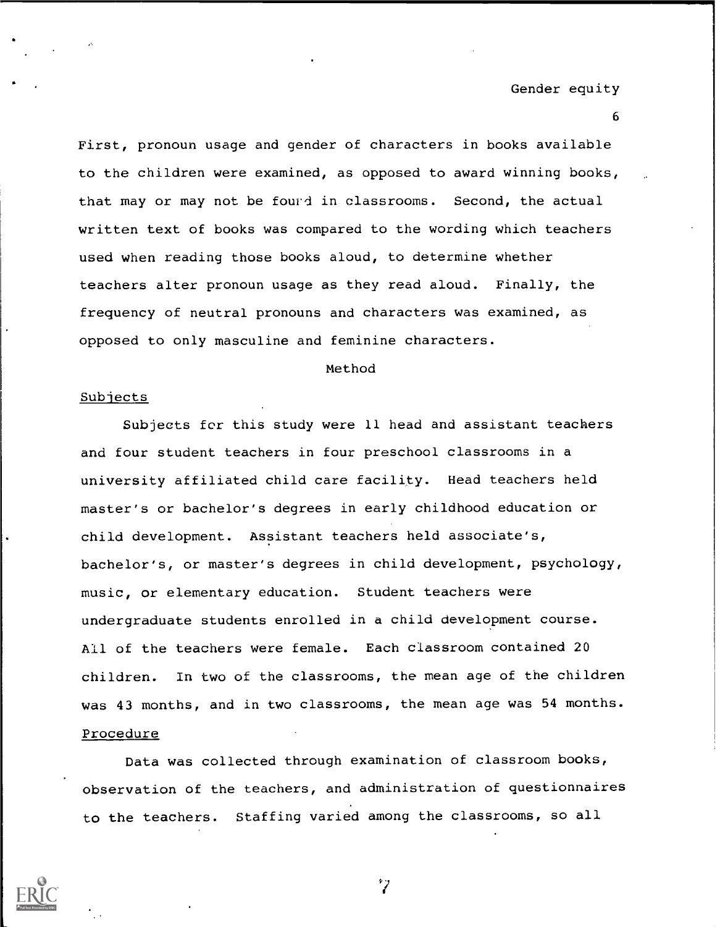First, pronoun usage and gender of characters in books available to the children were examined, as opposed to award winning books, that may or may not be fourd in classrooms. Second, the actual written text of books was compared to the wording which teachers used when reading those books aloud, to determine whether teachers alter pronoun usage as they read aloud. Finally, the frequency of neutral pronouns and characters was examined, as opposed to only masculine and feminine characters.

#### Method

## Subjects

Subjects for this study were 11 head and assistant teachers and four student teachers in four preschool classrooms in a university affiliated child care facility. Head teachers held master's or bachelor's degrees in early childhood education or child development. Assistant teachers held associate's, bachelor's, or master's degrees in child development, psychology, music, or elementary education. Student teachers were undergraduate students enrolled in a child development course. All of the teachers were female. Each classroom contained 20 children. In two of the classrooms, the mean age of the children was 43 months, and in two classrooms, the mean age was 54 months. Procedure

Data was collected through examination of classroom books, observation of the teachers, and administration of questionnaires to the teachers. Staffing varied among the classrooms, so all



 $^{\circ}$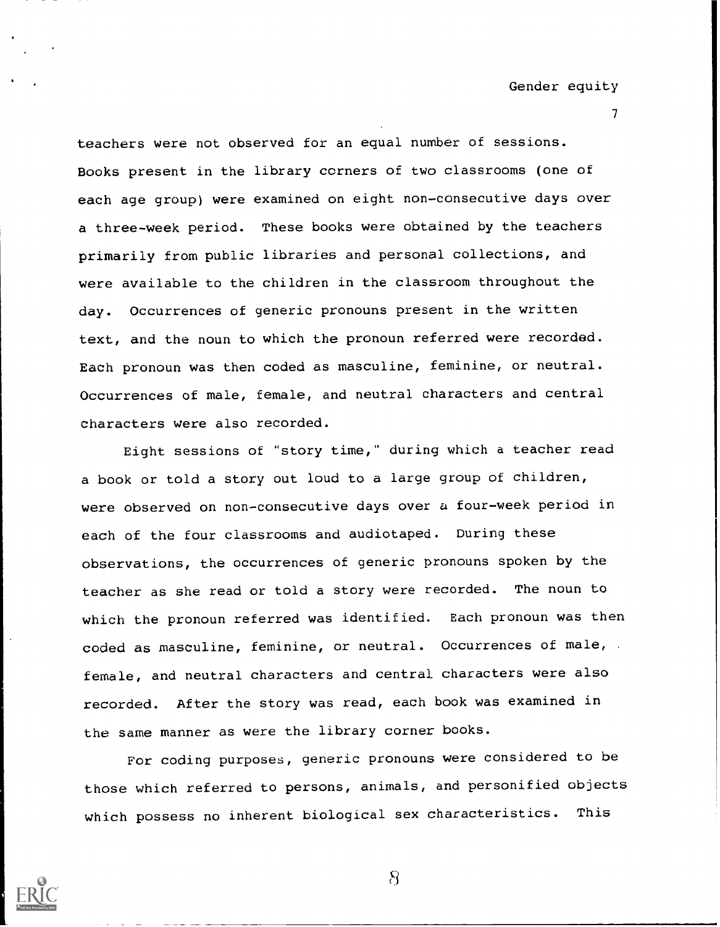$\mathcal{T}$  and  $\mathcal{T}$ 

teachers were not observed for an equal number of sessions. Books present in the library corners of two classrooms (one of each age group) were examined on eight non-consecutive days over a three-week period. These books were obtained by the teachers primarily from public libraries and personal collections, and were available to the children in the classroom throughout the day. Occurrences of generic pronouns present in the written text, and the noun to which the pronoun referred were recorded. Each pronoun was then coded as masculine, feminine, or neutral. Occurrences of male, female, and neutral characters and central characters were also recorded.

Eight sessions of "story time," during which a teacher read a book or told a story out loud to a large group of children, were observed on non-consecutive days over a four-week period in each of the four classrooms and audiotaped. During these observations, the occurrences of generic pronouns spoken by the teacher as she read or told a story were recorded. The noun to which the pronoun referred was identified. Each pronoun was then coded as masculine, feminine, or neutral. Occurrences of male, . female, and neutral characters and central characters were also recorded. After the story was read, each book was examined in the same manner as were the library corner books.

For coding purposes, generic pronouns were considered to be those which referred to persons, animals, and personified objects which possess no inherent biological sex characteristics. This



 $\mathcal{B}$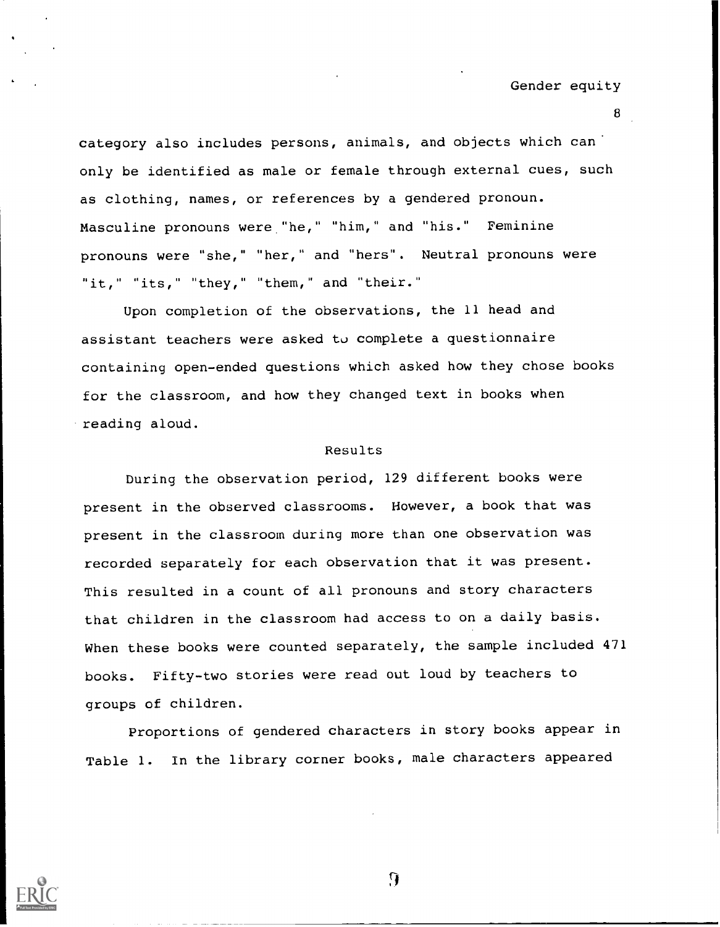category also includes persons, animals, and objects which can' only be identified as male or female through external cues, such as clothing, names, or references by a gendered pronoun. Masculine pronouns were "he," "him," and "his." Feminine pronouns were "she," "her," and "hers". Neutral pronouns were "it," "its," "they," "them," and "their."

Upon completion of the observations, the 11 head and assistant teachers were asked to complete a questionnaire containing open-ended questions which asked how they chose books for the classroom, and how they changed text in books when .reading aloud.

#### Results

During the observation period, 129 different books were present in the observed classrooms. However, a book that was present in the classroom during more than one observation was recorded separately for each observation that it was present. This resulted in a count of all pronouns and story characters that children in the classroom had access to on a daily basis. When these books were counted separately, the sample included 471 books. Fifty-two stories were read out loud by teachers to groups of children.

Proportions of gendered characters in story books appear in Table 1. In the library corner books, male characters appeared



9

 $\mathbf{B}$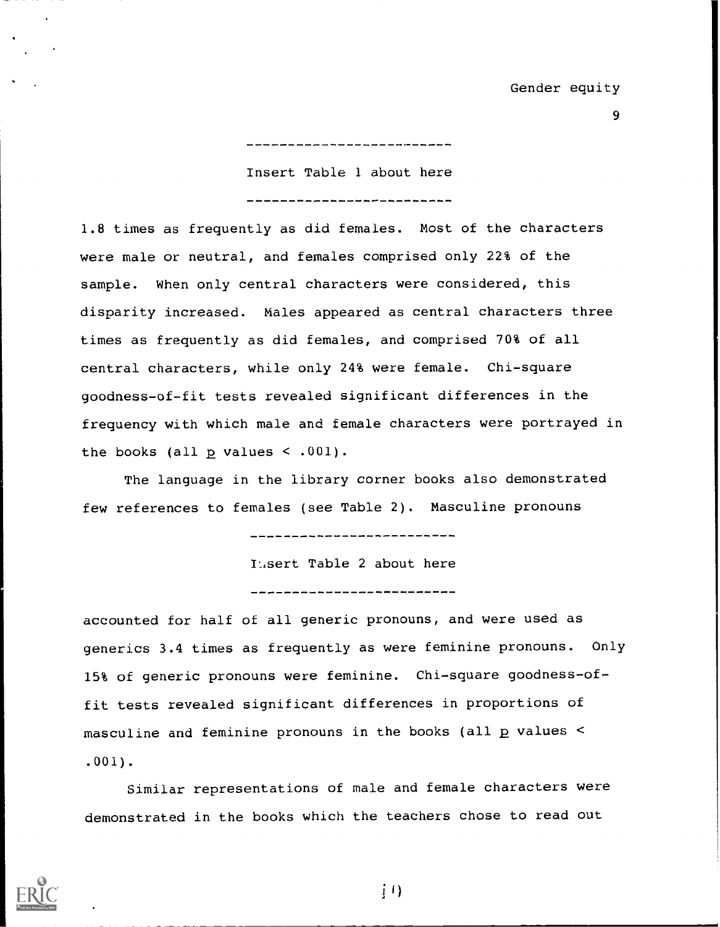9

Insert Table 1 about here --------------------------

1.8 times as frequently as did females. Most of the characters were male or neutral, and females comprised only 22% of the sample. When only central characters were considered, this disparity increased. Males appeared as central characters three times as frequently as did females, and comprised 70% of all central characters, while only 24% were female. Chi-square goodness-of-fit tests revealed significant differences in the frequency with which male and female characters were portrayed in the books (all  $p$  values < .001).

The language in the library corner books also demonstrated few references to females (see Table 2). Masculine pronouns

**Hisert Table 2 about here** 

--------------------------

accounted for half of all generic pronouns, and were used as generics 3.4 times as frequently as were feminine pronouns. Only 15% of generic pronouns were feminine. Chi-square goodness-offit tests revealed significant differences in proportions of masculine and feminine pronouns in the books (all p values < .001).

Similar representations of male and female characters were demonstrated in the books which the teachers chose to read out



 $\{f\}$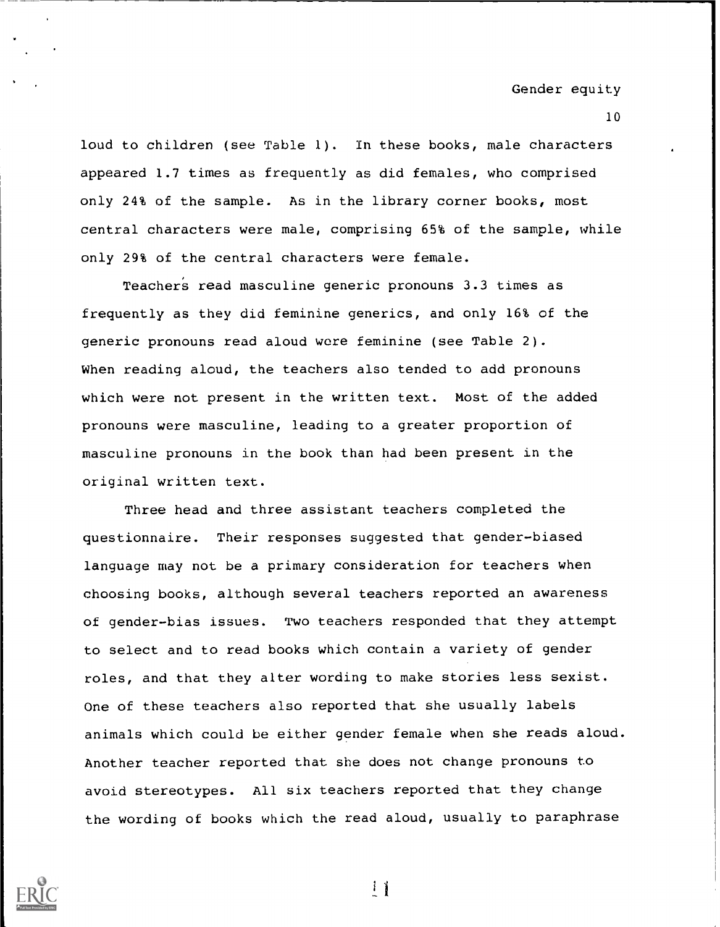10

loud to children (see Table 1). In these books, male characters appeared 1.7 times as frequently as did females, who comprised only 24% of the sample. As in the library corner books, most central characters were male, comprising 65% of the sample, while only 29% of the central characters were female.

Teacher's read masculine generic pronouns 3.3 times as frequently as they did feminine generics, and only 16% of the generic pronouns read aloud wore feminine (see Table 2). When reading aloud, the teachers also tended to add pronouns which were not present in the written text. Most of the added pronouns were masculine, leading to a greater proportion of masculine pronouns in the book than had been present in the original written text.

Three head and three assistant teachers completed the questionnaire. Their responses suggested that gender-biased language may not be a primary consideration for teachers when choosing books, although several teachers reported an awareness of gender-bias issues. Two teachers responded that they attempt to select and to read books which contain a variety of gender roles, and that they alter wording to make stories less sexist. One of these teachers also reported that she usually labels animals which could be either gender female when she reads aloud. Another teacher reported that she does not change pronouns to avoid stereotypes. All six teachers reported that they change the wording of books which the read aloud, usually to paraphrase



 $\mathbf{1}$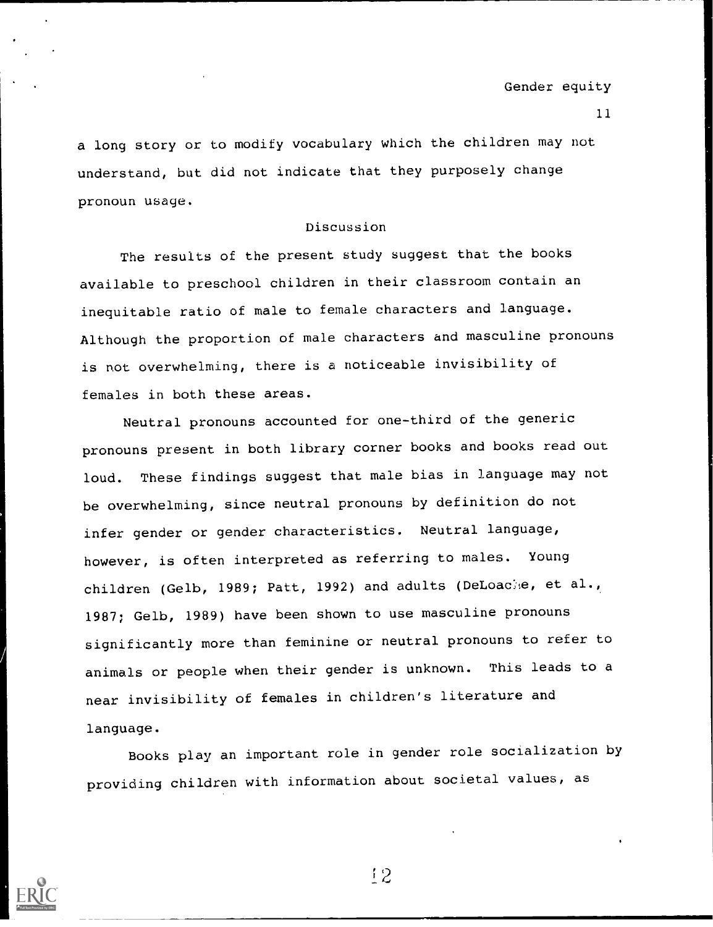a long story or to modify vocabulary which the children may not understand, but did not indicate that they purposely change pronoun usage.

## Discussion

The results of the present study suggest that the books available to preschool children in their classroom contain an inequitable ratio of male to female characters and language. Although the proportion of male characters and masculine pronouns is not overwhelming, there is a noticeable invisibility of females in both these areas.

Neutral pronouns accounted for one-third of the generic pronouns present in both library corner books and books read out loud. These findings suggest that male bias in language may not be overwhelming, since neutral pronouns by definition do not infer gender or gender characteristics. Neutral language, however, is often interpreted as referring to males. Young children (Gelb, 1989; Patt, 1992) and adults (DeLoacke, et al., 1987; Gelb, 1989) have been shown to use masculine pronouns significantly more than feminine or neutral pronouns to refer to animals or people when their gender is unknown. This leads to a near invisibility of females in children's literature and language.

Books play an important role in gender role socialization by providing children with information about societal values, as

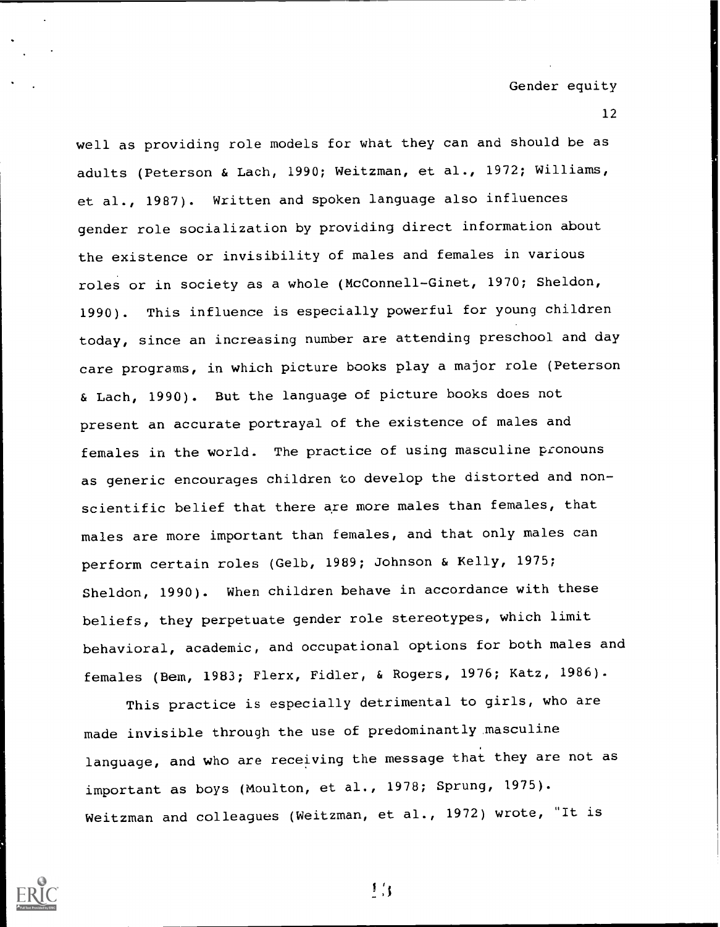well as providing role models for what they can and should be as adults (Peterson & Lach, 1990; Weitzman, et al., 1972; Williams, et al., 1987). Written and spoken language also influences gender role socialization by providing direct information about the existence or invisibility of males and females in various roles or in society as a whole (McConnell-Ginet, 1970; Sheldon, 1990). This influence is especially powerful for young children today, since an increasing number are attending preschool and day care programs, in which picture books play a major role (Peterson & Lach, 1990). But the language of picture books does not present an accurate portrayal of the existence of males and females in the world. The practice of using masculine pronouns as generic encourages children to develop the distorted and nonscientific belief that there are more males than females, that males are more important than females, and that only males can perform certain roles (Gelb, 1989; Johnson & Kelly, 1975; Sheldon, 1990). When children behave in accordance with these beliefs, they perpetuate gender role stereotypes, which limit behavioral, academic, and occupational options for both males and females (Bem, 1983; Flerx, Fidler, & Rogers, 1976; Katz, 1986).

This practice is especially detrimental to girls, who are made invisible through the use of predominantly masculine language, and who are receiving the message that they are not as important as boys (Moulton, et al., 1978; Sprung, 1975). Weitzman and colleagues (Weitzman, et al., 1972) wrote, "It is



 $1/3$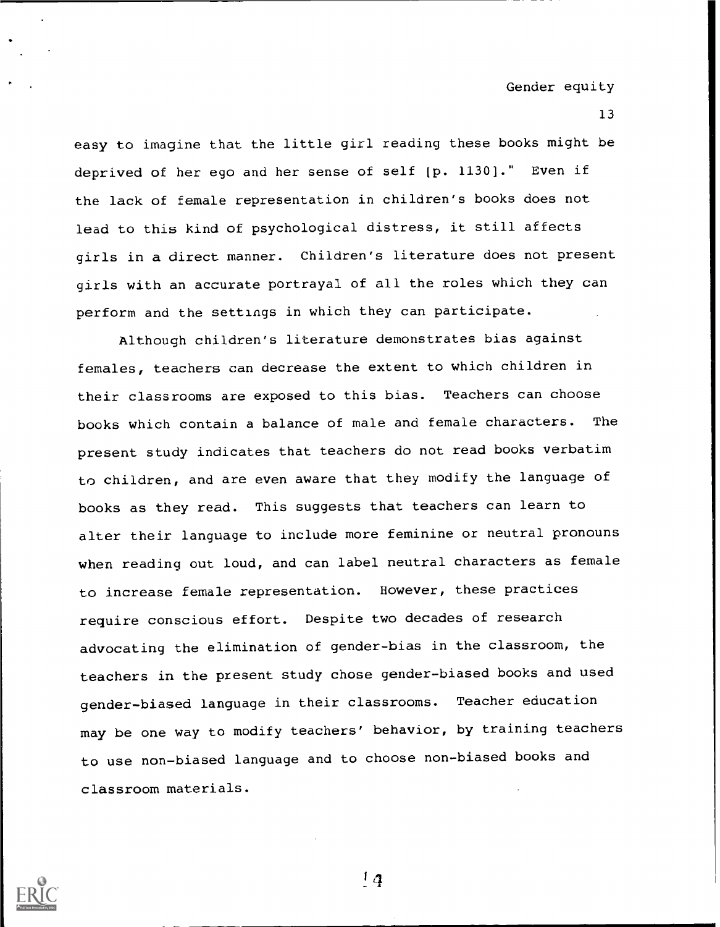13

easy to imagine that the little girl reading these books might be deprived of her ego and her sense of self [p. 1130]." Even if the lack of female representation in children's books does not lead to this kind of psychological distress, it still affects girls in a direct manner. Children's literature does not present girls with an accurate portrayal of all the roles which they can perform and the settings in which they can participate.

Although children's literature demonstrates bias against females, teachers can decrease the extent to which children in their classrooms are exposed to this bias. Teachers can choose books which contain a balance of male and female characters. The present study indicates that teachers do not read books verbatim to children, and are even aware that they modify the language of books as they read. This suggests that teachers can learn to alter their language to include more feminine or neutral pronouns when reading out loud, and can label neutral characters as female to increase female representation. However, these practices require conscious effort. Despite two decades of research advocating the elimination of gender-bias in the classroom, the teachers in the present study chose gender-biased books and used gender-biased language in their classrooms. Teacher education may be one way to modify teachers' behavior, by training teachers to use non-biased language and to choose non-biased books and classroom materials.



 $1<sub>4</sub>$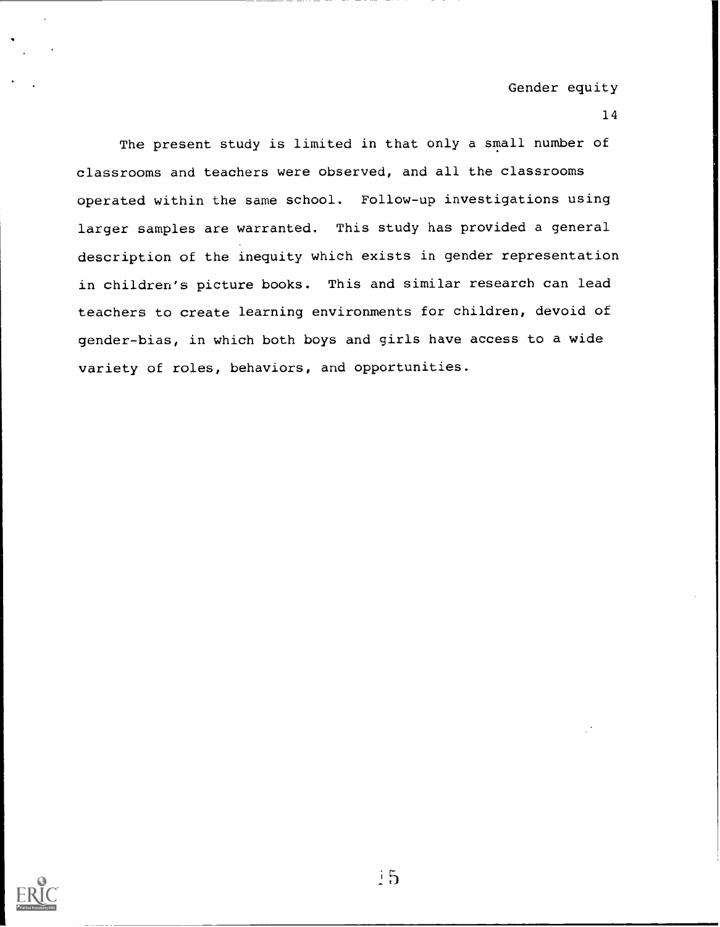#### 14

The present study is limited in that only a small number of classrooms and teachers were observed, and all the classrooms operated within the same school. Follow-up investigations using larger samples are warranted. This study has provided a general description of the inequity which exists in gender representation in children's picture books. This and similar research can lead teachers to create learning environments for children, devoid of gender-bias, in which both boys and girls have access to a wide variety of roles, behaviors, and opportunities.

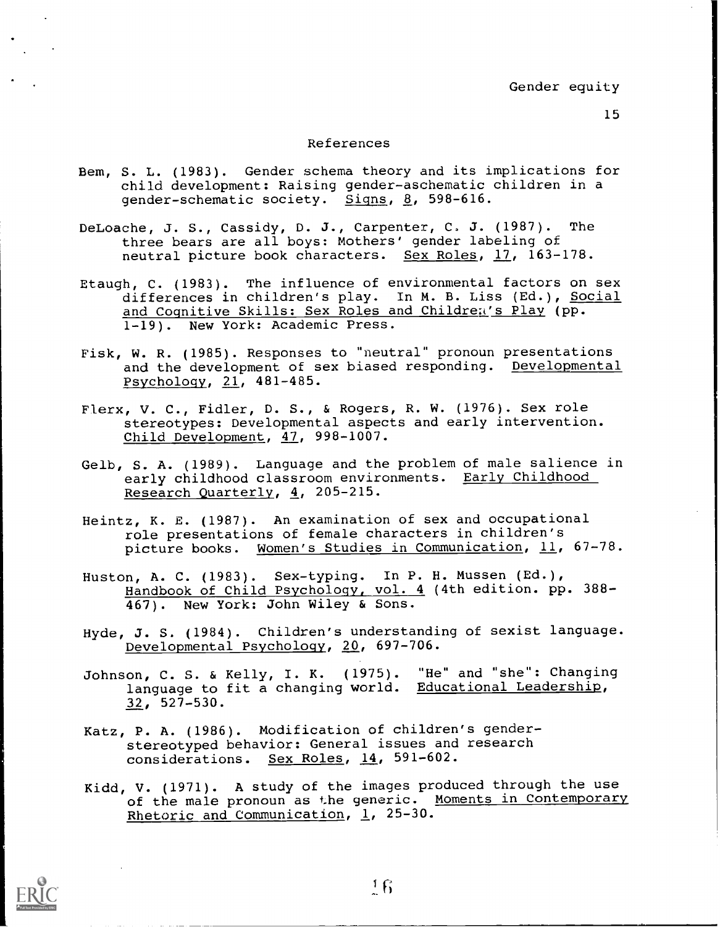#### 15

## References

- Bem, S. L. (1983). Gender schema theory and its implications for child development: Raising gender-aschematic children in a gender-schematic society. Signs, 8, 598-616.
- DeLoache, J. S., Cassidy, D. J., Carpenter, C. J. (1987). The three bears are all boys: Mothers' gender labeling of neutral picture book characters. Sex Roles, 17, 163-178.
- Etaugh, C. (1983). The influence of environmental factors on sex differences in children's play. In M. B. Liss (Ed.), Social and Cognitive Skills: Sex Roles and Children's Play (pp. 1-19). New York: Academic Press.
- Fisk, W. R. (1985). Responses to "neutral" pronoun presentations and the development of sex biased responding. Developmental Psychology, 21, 481-485.
- Flerx, V. C., Fidler, D. S., & Rogers, R. W. (1976). Sex role stereotypes: Developmental aspects and early intervention. Child Development, 47, 998-1007.
- Gelb, S. A. (1989). Language and the problem of male salience in early childhood classroom environments. Early Childhood Research Quarterly, 4, 205-215.
- Heintz, K. E. (1987). An examination of sex and occupational role presentations of female characters in children's picture books. Women's Studies in Communication, 11, 67-78.
- Huston, A. C. (1983). Sex-typing. In P. H. Mussen (Ed.), Handbook of Child Psychology, vol. 4 (4th edition. pp. 388- 467). New York: John Wiley & Sons.
- Hyde, J. S. (1984). Children's understanding of sexist language. Developmental Psychology, 20, 697-706.
- Johnson, C. S. & Kelly, I. K. (1975). "He" and "she": Changing language to fit a changing world. Educational Leadership, 32, 527-530.
- Katz, P. A. (1986). Modification of children's genderstereotyped behavior: General issues and research considerations. Sex Roles, 14, 591-602.
- Kidd, V. (1971). A study of the images produced through the use of the male pronoun as the generic. Moments in Contemporary Rhetoric and Communication,  $1$ , 25-30.

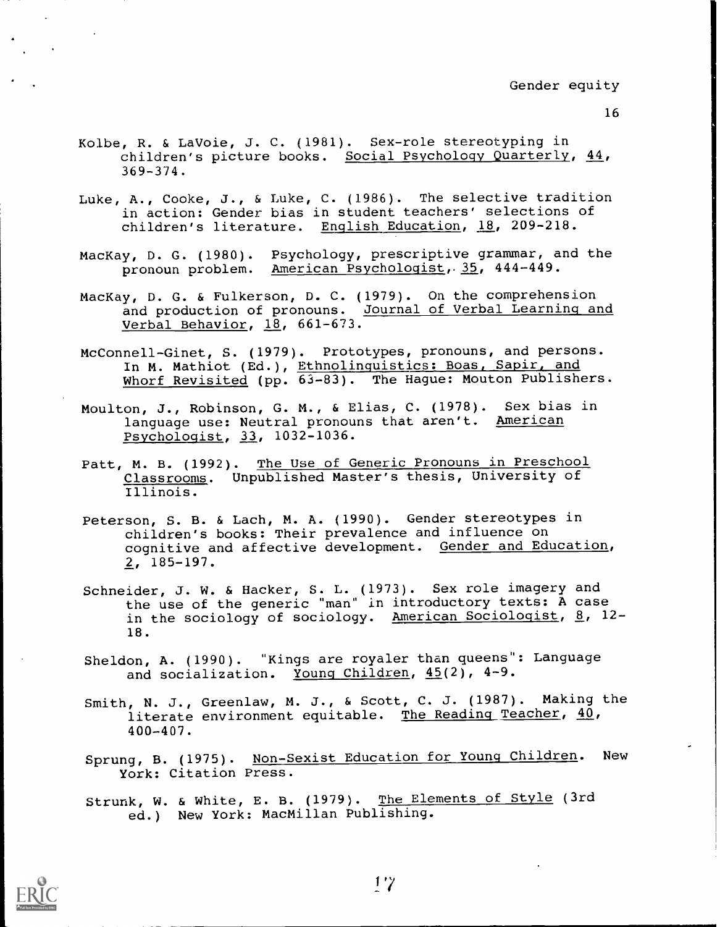- 16
- Kolbe, R. & LaVoie, J. C. (1981). Sex-role stereotyping in children's picture books. Social Psychology Quarterly, 44, 369-374.
- Luke, A., Cooke, J., & Luke, C. (1986). The selective tradition in action: Gender bias in student teachers' selections of children's literature. English Education, 18, 209-218.
- MacKay, D. G. (1980). Psychology, prescriptive grammar, and the pronoun problem. American Psychologist, 35, 444-449.
- MacKay, D. G. & Fulkerson, D. C. (1979). On the comprehension and production of pronouns. Journal of Verbal Learning and Verbal Behavior, 18, 661-673.
- McConnell-Ginet, S. (1979). Prototypes, pronouns, and persons. In M. Mathiot (Ed.), Ethnolinguistics: Boas, Sapir, and Whorf Revisited (pp. 63-83). The Hague: Mouton Publishers.
- Moulton, J., Robinson, G. M., & Elias, C. (1978). Sex bias in language use: Neutral pronouns that aren't. American Psychologist, 33, 1032-1036.
- Patt, M. B. (1992). The Use of Generic Pronouns in Preschool Classrooms. Unpublished Master's thesis, University of Illinois.
- Peterson, S. B. & Lach, M. A. (1990). Gender stereotypes in children's books: Their prevalence and influence on cognitive and affective development. Gender and Education, 2, 185-197.
- Schneider, J. W. & Hacker, S. L. (1973). Sex role imagery and the use of the generic "man" in introductory texts: A case in the sociology of sociology. American Sociologist, 8, 12-18.
- Sheldon, A. (1990). "Kings are royaler than queens": Language and socialization. Young Children, 45(2), 4-9.
- Smith, N. J., Greenlaw, M. J., & Scott, C. J. (1987). Making the literate environment equitable. The Reading Teacher, 40, 400-407.
- Sprung, B. (1975). Non-Sexist Education for Young Children. New York: Citation Press.
- Strunk, W. & White, E. B. (1979). The Elements of Style (3rd ed.) New York: MacMillan Publishing.

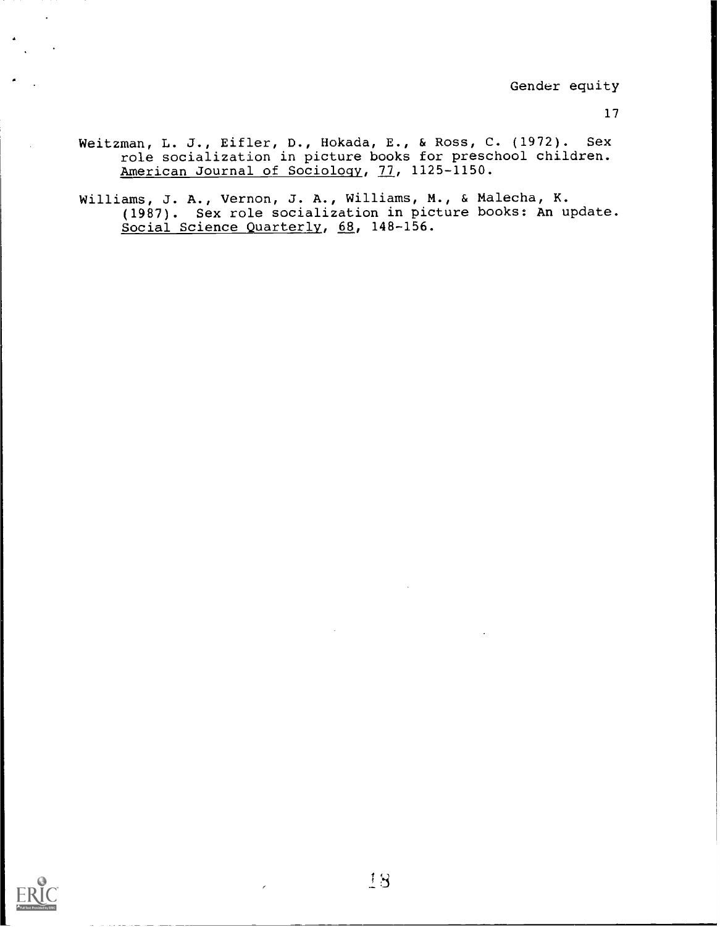- Weitzman, L. J., Eifler, D., Hokada, E., & Ross, C. (1972). Sex role socialization in picture books for preschool children. American Journal of Sociology, 77, 1125-1150.
- Williams, J. A., Vernon, J. A., Williams, M., & Malecha, K. (1987). Sex role socialization in picture books: An update. Social Science Quarterly, 68, 148-156.

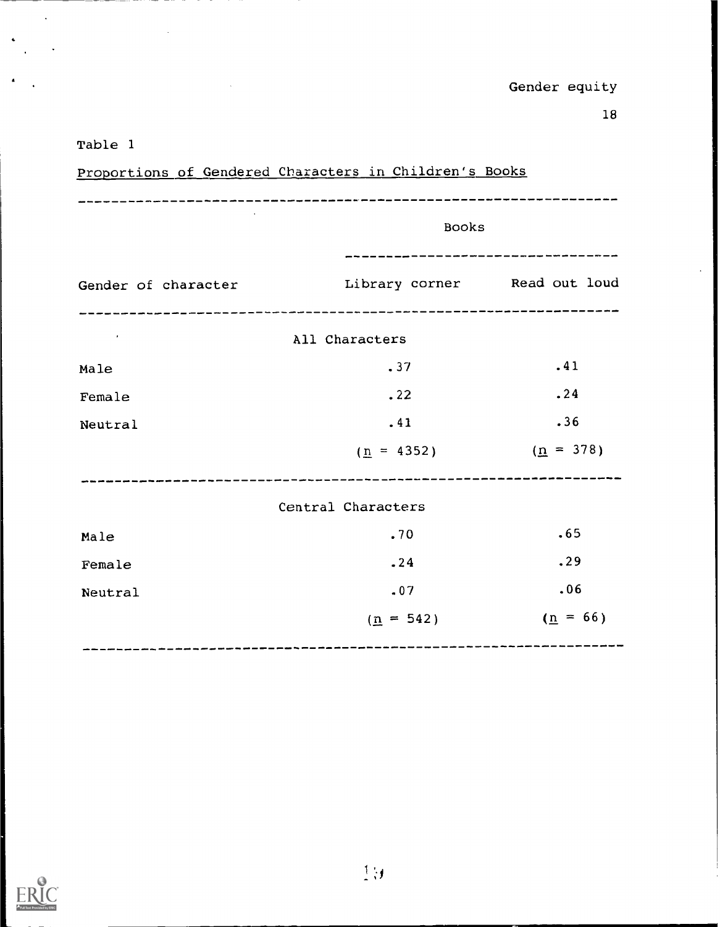# Table 1

÷,

 $\hat{\boldsymbol{\theta}}$ 

|                                                           |                                                  | -----------------------------<br><b>Books</b> |  |  |
|-----------------------------------------------------------|--------------------------------------------------|-----------------------------------------------|--|--|
| Gender of character and Library corner and put loud       | _________________________________                |                                               |  |  |
| $\mathcal{L}(\mathcal{A})$ and $\mathcal{A}(\mathcal{A})$ | All Characters                                   |                                               |  |  |
| Male                                                      | .37                                              | .41                                           |  |  |
| Female                                                    | .22                                              | .24                                           |  |  |
| Neutral                                                   | .41                                              | .36                                           |  |  |
|                                                           | $(\underline{n} = 4352)$ $(\underline{n} = 378)$ |                                               |  |  |
|                                                           | Central Characters                               |                                               |  |  |
| Male                                                      | .70                                              | .65                                           |  |  |
| Female                                                    | .24                                              | .29                                           |  |  |
| Neutral                                                   | .07                                              | .06                                           |  |  |
|                                                           | $(n = 542)$                                      | $(\underline{n} = 66)$                        |  |  |
|                                                           |                                                  |                                               |  |  |